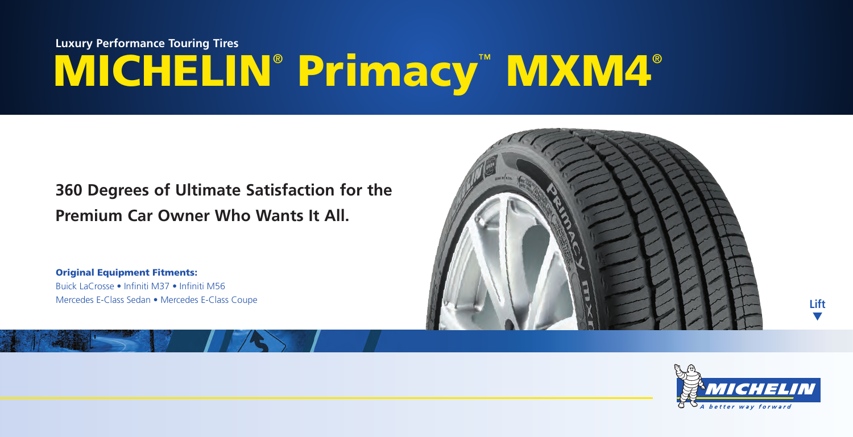# **MICHELIN**®  **Primacy**™  **MXM4**® **Luxury Performance Touring Tires**

## **360 Degrees of Ultimate Satisfaction for the Premium Car Owner Who Wants It All.**

**Original Equipment Fitments:** Buick LaCrosse • Infiniti M37 • Infiniti M56 Mercedes E-Class Sedan • Mercedes E-Class Coupe





**Lift** ▼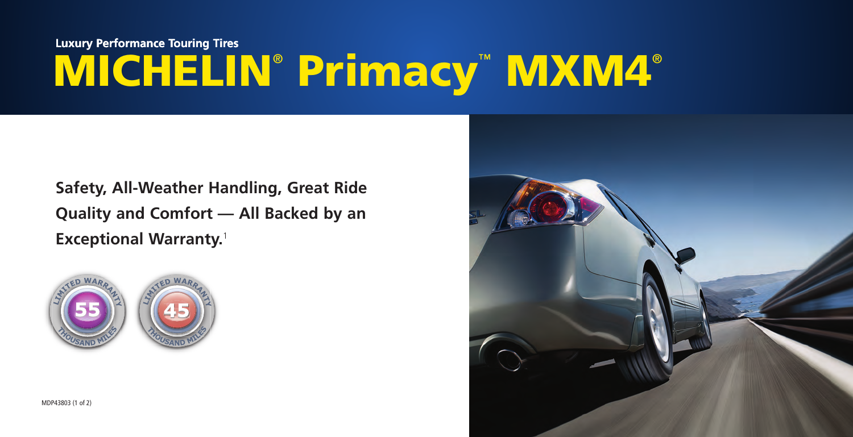## **MICHELIN**®  **Primacy**™  **MXM4**® **Luxury Performance Touring Tires**

**Safety, All-Weather Handling, Great Ride Quality and Comfort — All Backed by an Exceptional Warranty.**<sup>1</sup>



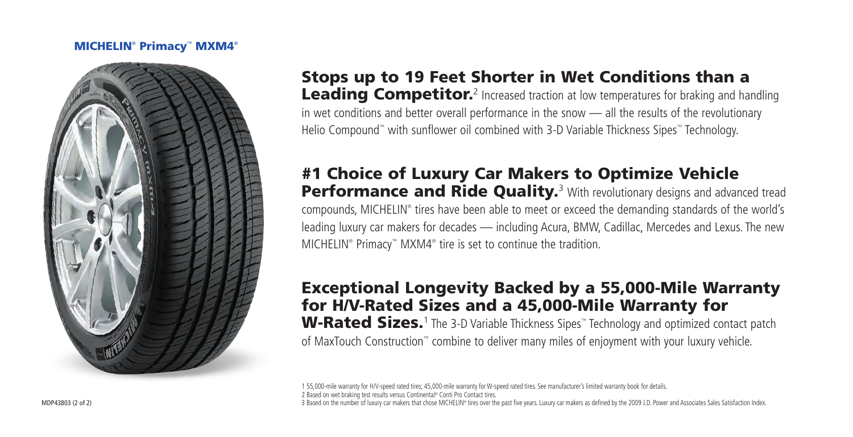#### **MICHELIN**®  **Primacy**™  **MXM4**®



**Stops up to 19 Feet Shorter in Wet Conditions than a**  Leading Competitor.<sup>2</sup> Increased traction at low temperatures for braking and handling in wet conditions and better overall performance in the snow — all the results of the revolutionary Helio Compound™ with sunflower oil combined with 3-D Variable Thickness Sipes™ Technology.

### **#1 Choice of Luxury Car Makers to Optimize Vehicle**  Performance and Ride Quality.<sup>3</sup> With revolutionary designs and advanced tread

compounds, MICHELIN® tires have been able to meet or exceed the demanding standards of the world's leading luxury car makers for decades — including Acura, BMW, Cadillac, Mercedes and Lexus. The new MICHELIN<sup>®</sup> Primacy<sup>™</sup> MXM4<sup>®</sup> tire is set to continue the tradition.

### **Exceptional Longevity Backed by a 55,000-Mile Warranty for H/V-Rated Sizes and a 45,000-Mile Warranty for**

**W-Rated Sizes.**<sup>1</sup> The 3-D Variable Thickness Sipes™ Technology and optimized contact patch of MaxTouch Construction™ combine to deliver many miles of enjoyment with your luxury vehicle.

1 55,000-mile warranty for H/V-speed rated tires; 45,000-mile warranty for W-speed rated tires. See manufacturer's limited warranty book for details. 2 Based on wet braking test results versus Continental® Conti Pro Contact tires. 3 Based on the number of luxury car makers that chose MICHELIN® tires over the past five years. Luxury car makers as defined by the 2009 J.D. Power and Associates Sales Satisfaction Index.